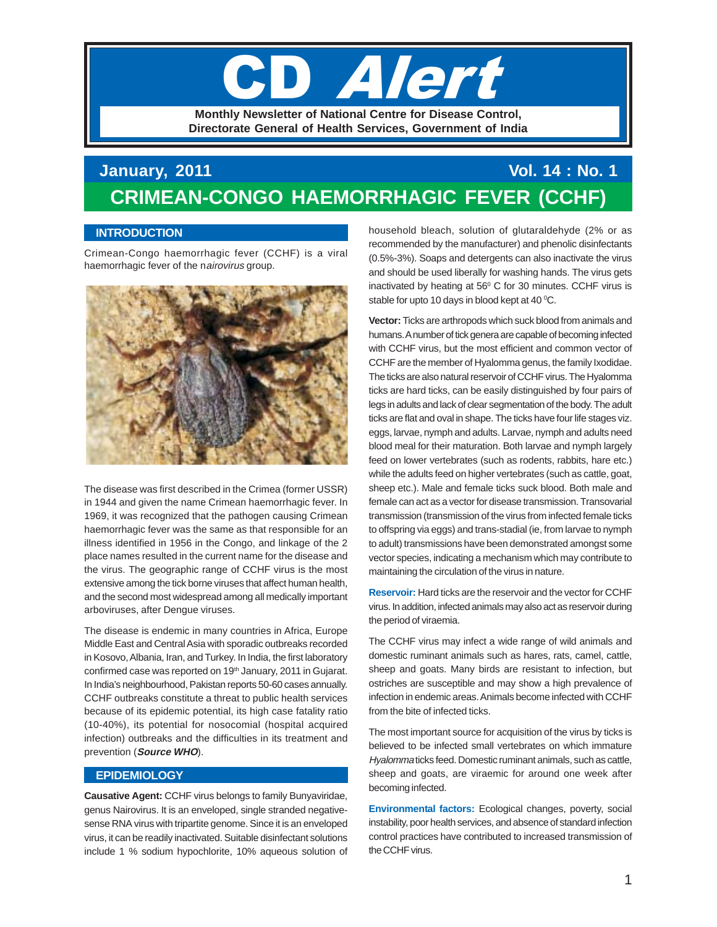# **L'Adam Monthly Newsletter of National Centre for Disease Control, Directorate General of Health Services, Government of India**

## **January, 2011 Vol. 14 : No. 1 CRIMEAN-CONGO HAEMORRHAGIC FEVER (CCHF)**

## **INTRODUCTION**

Crimean-Congo haemorrhagic fever (CCHF) is a viral haemorrhagic fever of the nairovirus group.



The disease was first described in the Crimea (former USSR) in 1944 and given the name Crimean haemorrhagic fever. In 1969, it was recognized that the pathogen causing Crimean haemorrhagic fever was the same as that responsible for an illness identified in 1956 in the Congo, and linkage of the 2 place names resulted in the current name for the disease and the virus. The geographic range of CCHF virus is the most extensive among the tick borne viruses that affect human health, and the second most widespread among all medically important arboviruses, after Dengue viruses.

The disease is endemic in many countries in Africa, Europe Middle East and Central Asia with sporadic outbreaks recorded in Kosovo, Albania, Iran, and Turkey. In India, the first laboratory confirmed case was reported on 19<sup>th</sup> January, 2011 in Gujarat. In India's neighbourhood, Pakistan reports 50-60 cases annually. CCHF outbreaks constitute a threat to public health services because of its epidemic potential, its high case fatality ratio (10-40%), its potential for nosocomial (hospital acquired infection) outbreaks and the difficulties in its treatment and prevention (**Source WHO**).

## **EPIDEMIOLOGY**

**Causative Agent:** CCHF virus belongs to family Bunyaviridae, genus Nairovirus. It is an enveloped, single stranded negativesense RNA virus with tripartite genome. Since it is an enveloped virus, it can be readily inactivated. Suitable disinfectant solutions include 1 % sodium hypochlorite, 10% aqueous solution of household bleach, solution of glutaraldehyde (2% or as recommended by the manufacturer) and phenolic disinfectants (0.5%-3%). Soaps and detergents can also inactivate the virus and should be used liberally for washing hands. The virus gets inactivated by heating at  $56^{\circ}$  C for 30 minutes. CCHF virus is stable for upto 10 days in blood kept at 40  $^{\circ}$ C.

**Vector:** Ticks are arthropods which suck blood from animals and humans. A number of tick genera are capable of becoming infected with CCHF virus, but the most efficient and common vector of CCHF are the member of Hyalomma genus, the family Ixodidae. The ticks are also natural reservoir of CCHF virus. The Hyalomma ticks are hard ticks, can be easily distinguished by four pairs of legs in adults and lack of clear segmentation of the body. The adult ticks are flat and oval in shape. The ticks have four life stages viz. eggs, larvae, nymph and adults. Larvae, nymph and adults need blood meal for their maturation. Both larvae and nymph largely feed on lower vertebrates (such as rodents, rabbits, hare etc.) while the adults feed on higher vertebrates (such as cattle, goat, sheep etc.). Male and female ticks suck blood. Both male and female can act as a vector for disease transmission. Transovarial transmission (transmission of the virus from infected female ticks to offspring via eggs) and trans-stadial (ie, from larvae to nymph to adult) transmissions have been demonstrated amongst some vector species, indicating a mechanism which may contribute to maintaining the circulation of the virus in nature.

**Reservoir:** Hard ticks are the reservoir and the vector for CCHF virus. In addition, infected animals may also act as reservoir during the period of viraemia.

The CCHF virus may infect a wide range of wild animals and domestic ruminant animals such as hares, rats, camel, cattle, sheep and goats. Many birds are resistant to infection, but ostriches are susceptible and may show a high prevalence of infection in endemic areas. Animals become infected with CCHF from the bite of infected ticks.

The most important source for acquisition of the virus by ticks is believed to be infected small vertebrates on which immature Hyalomma ticks feed. Domestic ruminant animals, such as cattle, sheep and goats, are viraemic for around one week after becoming infected.

**Environmental factors:** Ecological changes, poverty, social instability, poor health services, and absence of standard infection control practices have contributed to increased transmission of the CCHF virus.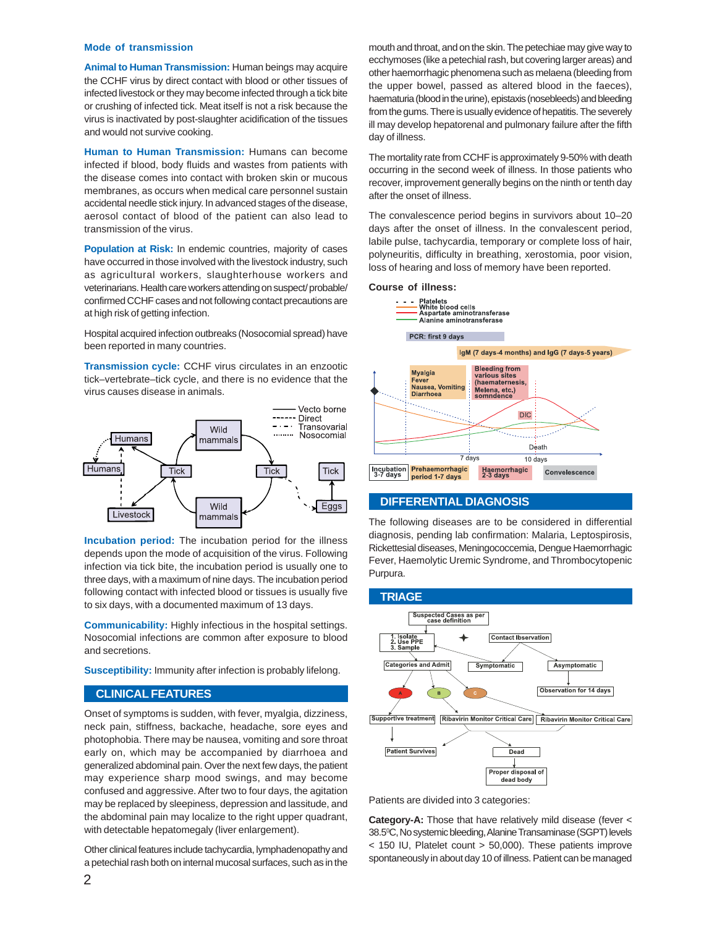#### **Mode of transmission**

**Animal to Human Transmission:** Human beings may acquire the CCHF virus by direct contact with blood or other tissues of infected livestock or they may become infected through a tick bite or crushing of infected tick. Meat itself is not a risk because the virus is inactivated by post-slaughter acidification of the tissues and would not survive cooking.

**Human to Human Transmission:** Humans can become infected if blood, body fluids and wastes from patients with the disease comes into contact with broken skin or mucous membranes, as occurs when medical care personnel sustain accidental needle stick injury. In advanced stages of the disease, aerosol contact of blood of the patient can also lead to transmission of the virus.

**Population at Risk:** In endemic countries, majority of cases have occurred in those involved with the livestock industry, such as agricultural workers, slaughterhouse workers and veterinarians. Health care workers attending on suspect/ probable/ confirmed CCHF cases and not following contact precautions are at high risk of getting infection.

Hospital acquired infection outbreaks (Nosocomial spread) have been reported in many countries.

**Transmission cycle:** CCHF virus circulates in an enzootic tick–vertebrate–tick cycle, and there is no evidence that the virus causes disease in animals.



**Incubation period:** The incubation period for the illness depends upon the mode of acquisition of the virus. Following infection via tick bite, the incubation period is usually one to three days, with a maximum of nine days. The incubation period following contact with infected blood or tissues is usually five to six days, with a documented maximum of 13 days.

**Communicability:** Highly infectious in the hospital settings. Nosocomial infections are common after exposure to blood and secretions.

**Susceptibility:** Immunity after infection is probably lifelong.

#### **CLINICAL FEATURES**

Onset of symptoms is sudden, with fever, myalgia, dizziness, neck pain, stiffness, backache, headache, sore eyes and photophobia. There may be nausea, vomiting and sore throat early on, which may be accompanied by diarrhoea and generalized abdominal pain. Over the next few days, the patient may experience sharp mood swings, and may become confused and aggressive. After two to four days, the agitation may be replaced by sleepiness, depression and lassitude, and the abdominal pain may localize to the right upper quadrant, with detectable hepatomegaly (liver enlargement).

Other clinical features include tachycardia, lymphadenopathy and a petechial rash both on internal mucosal surfaces, such as in the mouth and throat, and on the skin. The petechiae may give way to ecchymoses (like a petechial rash, but covering larger areas) and other haemorrhagic phenomena such as melaena (bleeding from the upper bowel, passed as altered blood in the faeces), haematuria (blood in the urine), epistaxis (nosebleeds) and bleeding from the gums. There is usually evidence of hepatitis. The severely ill may develop hepatorenal and pulmonary failure after the fifth day of illness.

The mortality rate from CCHF is approximately 9-50% with death occurring in the second week of illness. In those patients who recover, improvement generally begins on the ninth or tenth day after the onset of illness.

The convalescence period begins in survivors about 10–20 days after the onset of illness. In the convalescent period, labile pulse, tachycardia, temporary or complete loss of hair, polyneuritis, difficulty in breathing, xerostomia, poor vision, loss of hearing and loss of memory have been reported.

#### **Course of illness:**



#### **DIFFERENTIAL DIAGNOSIS**

The following diseases are to be considered in differential diagnosis, pending lab confirmation: Malaria, Leptospirosis, Rickettesial diseases, Meningococcemia, Dengue Haemorrhagic Fever, Haemolytic Uremic Syndrome, and Thrombocytopenic Purpura.



Patients are divided into 3 categories:

**Category-A:** Those that have relatively mild disease (fever < 38.50 C, No systemic bleeding, Alanine Transaminase (SGPT) levels < 150 IU, Platelet count > 50,000). These patients improve spontaneously in about day 10 of illness. Patient can be managed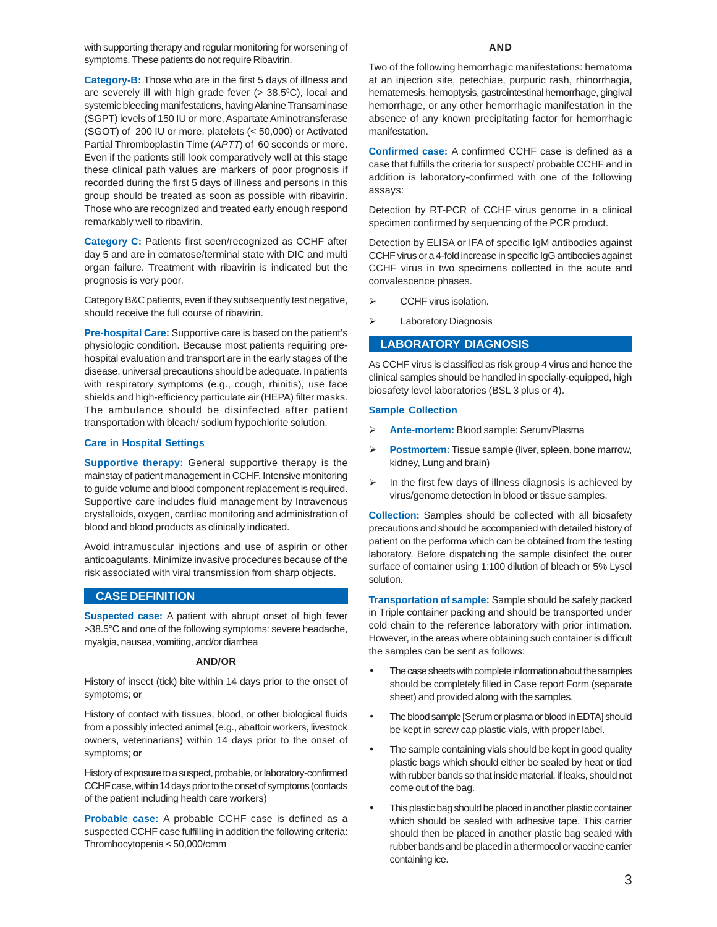with supporting therapy and regular monitoring for worsening of symptoms. These patients do not require Ribavirin.

**Category-B:** Those who are in the first 5 days of illness and are severely ill with high grade fever  $(> 38.5^{\circ}C)$ , local and systemic bleeding manifestations, having Alanine Transaminase (SGPT) levels of 150 IU or more, Aspartate Aminotransferase (SGOT) of 200 IU or more, platelets (< 50,000) or Activated Partial Thromboplastin Time (APTT) of 60 seconds or more. Even if the patients still look comparatively well at this stage these clinical path values are markers of poor prognosis if recorded during the first 5 days of illness and persons in this group should be treated as soon as possible with ribavirin. Those who are recognized and treated early enough respond remarkably well to ribavirin.

**Category C:** Patients first seen/recognized as CCHF after day 5 and are in comatose/terminal state with DIC and multi organ failure. Treatment with ribavirin is indicated but the prognosis is very poor.

Category B&C patients, even if they subsequently test negative, should receive the full course of ribavirin.

**Pre-hospital Care:** Supportive care is based on the patient's physiologic condition. Because most patients requiring prehospital evaluation and transport are in the early stages of the disease, universal precautions should be adequate. In patients with respiratory symptoms (e.g., cough, rhinitis), use face shields and high-efficiency particulate air (HEPA) filter masks. The ambulance should be disinfected after patient transportation with bleach/ sodium hypochlorite solution.

#### **Care in Hospital Settings**

**Supportive therapy:** General supportive therapy is the mainstay of patient management in CCHF. Intensive monitoring to guide volume and blood component replacement is required. Supportive care includes fluid management by Intravenous crystalloids, oxygen, cardiac monitoring and administration of blood and blood products as clinically indicated.

Avoid intramuscular injections and use of aspirin or other anticoagulants. Minimize invasive procedures because of the risk associated with viral transmission from sharp objects.

#### **CASE DEFINITION**

**Suspected case:** A patient with abrupt onset of high fever >38.5°C and one of the following symptoms: severe headache, myalgia, nausea, vomiting, and/or diarrhea

#### **AND/OR**

History of insect (tick) bite within 14 days prior to the onset of symptoms; **or**

History of contact with tissues, blood, or other biological fluids from a possibly infected animal (e.g., abattoir workers, livestock owners, veterinarians) within 14 days prior to the onset of symptoms; **or**

History of exposure to a suspect, probable, or laboratory-confirmed CCHF case, within 14 days prior to the onset of symptoms (contacts of the patient including health care workers)

**Probable case:** A probable CCHF case is defined as a suspected CCHF case fulfilling in addition the following criteria: Thrombocytopenia < 50,000/cmm

#### **AND**

Two of the following hemorrhagic manifestations: hematoma at an injection site, petechiae, purpuric rash, rhinorrhagia, hematemesis, hemoptysis, gastrointestinal hemorrhage, gingival hemorrhage, or any other hemorrhagic manifestation in the absence of any known precipitating factor for hemorrhagic manifestation.

**Confirmed case:** A confirmed CCHF case is defined as a case that fulfills the criteria for suspect/ probable CCHF and in addition is laboratory-confirmed with one of the following assays:

Detection by RT-PCR of CCHF virus genome in a clinical specimen confirmed by sequencing of the PCR product.

Detection by ELISA or IFA of specific IgM antibodies against CCHF virus or a 4-fold increase in specific IgG antibodies against CCHF virus in two specimens collected in the acute and convalescence phases.

- $\triangleright$  CCHF virus isolation.
- Laboratory Diagnosis

#### **LABORATORY DIAGNOSIS**

As CCHF virus is classified as risk group 4 virus and hence the clinical samples should be handled in specially-equipped, high biosafety level laboratories (BSL 3 plus or 4).

#### **Sample Collection**

- **Ante-mortem:** Blood sample: Serum/Plasma
- **Postmortem:** Tissue sample (liver, spleen, bone marrow, kidney, Lung and brain)
- $\triangleright$  In the first few days of illness diagnosis is achieved by virus/genome detection in blood or tissue samples.

**Collection:** Samples should be collected with all biosafety precautions and should be accompanied with detailed history of patient on the performa which can be obtained from the testing laboratory. Before dispatching the sample disinfect the outer surface of container using 1:100 dilution of bleach or 5% Lysol solution.

**Transportation of sample:** Sample should be safely packed in Triple container packing and should be transported under cold chain to the reference laboratory with prior intimation. However, in the areas where obtaining such container is difficult the samples can be sent as follows:

- The case sheets with complete information about the samples should be completely filled in Case report Form (separate sheet) and provided along with the samples.
- The blood sample [Serum or plasma or blood in EDTA] should be kept in screw cap plastic vials, with proper label.
- The sample containing vials should be kept in good quality plastic bags which should either be sealed by heat or tied with rubber bands so that inside material, if leaks, should not come out of the bag.
- This plastic bag should be placed in another plastic container which should be sealed with adhesive tape. This carrier should then be placed in another plastic bag sealed with rubber bands and be placed in a thermocol or vaccine carrier containing ice.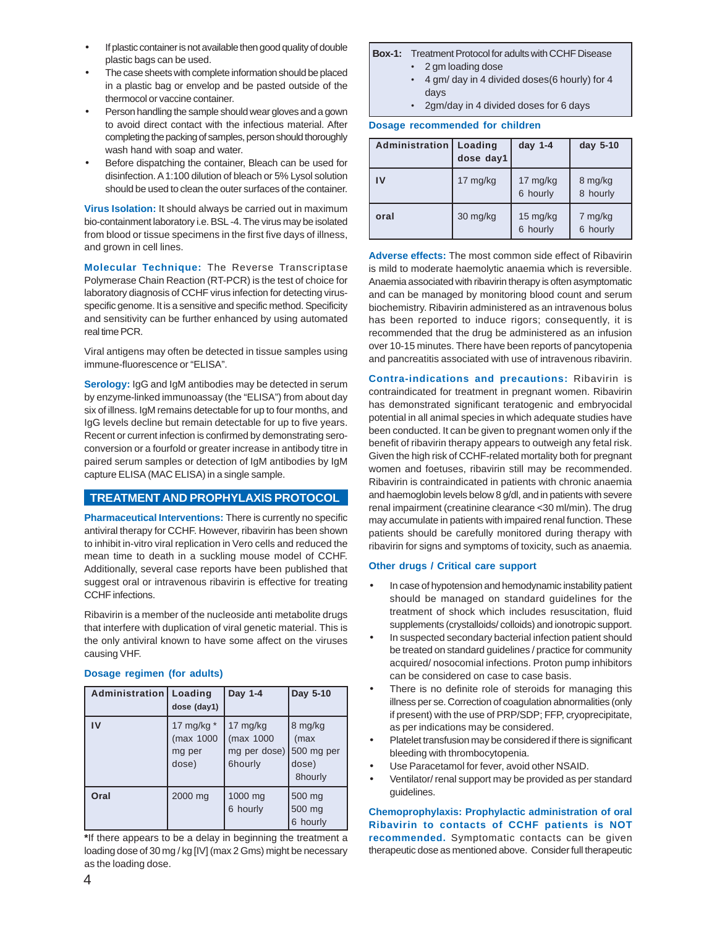- If plastic container is not available then good quality of double plastic bags can be used.
- The case sheets with complete information should be placed in a plastic bag or envelop and be pasted outside of the thermocol or vaccine container.
- Person handling the sample should wear gloves and a gown to avoid direct contact with the infectious material. After completing the packing of samples, person should thoroughly wash hand with soap and water.
- Before dispatching the container, Bleach can be used for disinfection. A 1:100 dilution of bleach or 5% Lysol solution should be used to clean the outer surfaces of the container.

**Virus Isolation:** It should always be carried out in maximum bio-containment laboratory i.e. BSL -4. The virus may be isolated from blood or tissue specimens in the first five days of illness, and grown in cell lines.

**Molecular Technique:** The Reverse Transcriptase Polymerase Chain Reaction (RT-PCR) is the test of choice for laboratory diagnosis of CCHF virus infection for detecting virusspecific genome. It is a sensitive and specific method. Specificity and sensitivity can be further enhanced by using automated real time PCR.

Viral antigens may often be detected in tissue samples using immune-fluorescence or "ELISA".

**Serology:** IgG and IgM antibodies may be detected in serum by enzyme-linked immunoassay (the "ELISA") from about day six of illness. IgM remains detectable for up to four months, and IgG levels decline but remain detectable for up to five years. Recent or current infection is confirmed by demonstrating seroconversion or a fourfold or greater increase in antibody titre in paired serum samples or detection of IgM antibodies by IgM capture ELISA (MAC ELISA) in a single sample.

## **TREATMENT AND PROPHYLAXIS PROTOCOL**

**Pharmaceutical Interventions:** There is currently no specific antiviral therapy for CCHF. However, ribavirin has been shown to inhibit in-vitro viral replication in Vero cells and reduced the mean time to death in a suckling mouse model of CCHF. Additionally, several case reports have been published that suggest oral or intravenous ribavirin is effective for treating CCHF infections.

Ribavirin is a member of the nucleoside anti metabolite drugs that interfere with duplication of viral genetic material. This is the only antiviral known to have some affect on the viruses causing VHF.

## **Dosage regimen (for adults)**

| <b>Administration   Loading</b> | dose (day1)                                  | Day 1-4                                            | Day 5-10                                          |
|---------------------------------|----------------------------------------------|----------------------------------------------------|---------------------------------------------------|
| IV                              | 17 mg/kg $*$<br>(max 1000<br>mg per<br>dose) | 17 $mg/kg$<br>(max 1000<br>mg per dose)<br>6hourly | 8 mg/kg<br>(max<br>500 mg per<br>dose)<br>8hourly |
| Oral                            | 2000 mg                                      | 1000 mg<br>6 hourly                                | 500 mg<br>500 mg<br>6 hourly                      |

**\***If there appears to be a delay in beginning the treatment a loading dose of 30 mg / kg [IV] (max 2 Gms) might be necessary as the loading dose.

#### **Box-1:** Treatment Protocol for adults with CCHF Disease

- 2 gm loading dose
- 4 gm/ day in 4 divided doses(6 hourly) for 4 days
- 2gm/day in 4 divided doses for 6 days

#### **Dosage recommended for children**

| Administration | Loading<br>dose day1 | day $1-4$                      | day 5-10            |
|----------------|----------------------|--------------------------------|---------------------|
| IV             | 17 mg/kg             | 17 mg/kg<br>6 hourly           | 8 mg/kg<br>8 hourly |
| oral           | 30 mg/kg             | $15 \text{ mg/kg}$<br>6 hourly | 7 mg/kg<br>6 hourly |

**Adverse effects:** The most common side effect of Ribavirin is mild to moderate haemolytic anaemia which is reversible. Anaemia associated with ribavirin therapy is often asymptomatic and can be managed by monitoring blood count and serum biochemistry. Ribavirin administered as an intravenous bolus has been reported to induce rigors; consequently, it is recommended that the drug be administered as an infusion over 10-15 minutes. There have been reports of pancytopenia and pancreatitis associated with use of intravenous ribavirin.

**Contra-indications and precautions:** Ribavirin is contraindicated for treatment in pregnant women. Ribavirin has demonstrated significant teratogenic and embryocidal potential in all animal species in which adequate studies have been conducted. It can be given to pregnant women only if the benefit of ribavirin therapy appears to outweigh any fetal risk. Given the high risk of CCHF-related mortality both for pregnant women and foetuses, ribavirin still may be recommended. Ribavirin is contraindicated in patients with chronic anaemia and haemoglobin levels below 8 g/dl, and in patients with severe renal impairment (creatinine clearance <30 ml/min). The drug may accumulate in patients with impaired renal function. These patients should be carefully monitored during therapy with ribavirin for signs and symptoms of toxicity, such as anaemia.

#### **Other drugs / Critical care support**

- In case of hypotension and hemodynamic instability patient should be managed on standard guidelines for the treatment of shock which includes resuscitation, fluid supplements (crystalloids/ colloids) and ionotropic support.
- In suspected secondary bacterial infection patient should be treated on standard guidelines / practice for community acquired/ nosocomial infections. Proton pump inhibitors can be considered on case to case basis.
- There is no definite role of steroids for managing this illness per se. Correction of coagulation abnormalities (only if present) with the use of PRP/SDP; FFP, cryoprecipitate, as per indications may be considered.
- Platelet transfusion may be considered if there is significant bleeding with thrombocytopenia.
- Use Paracetamol for fever, avoid other NSAID.
- Ventilator/ renal support may be provided as per standard guidelines.

**Chemoprophylaxis: Prophylactic administration of oral Ribavirin to contacts of CCHF patients is NOT recommended.** Symptomatic contacts can be given therapeutic dose as mentioned above. Consider full therapeutic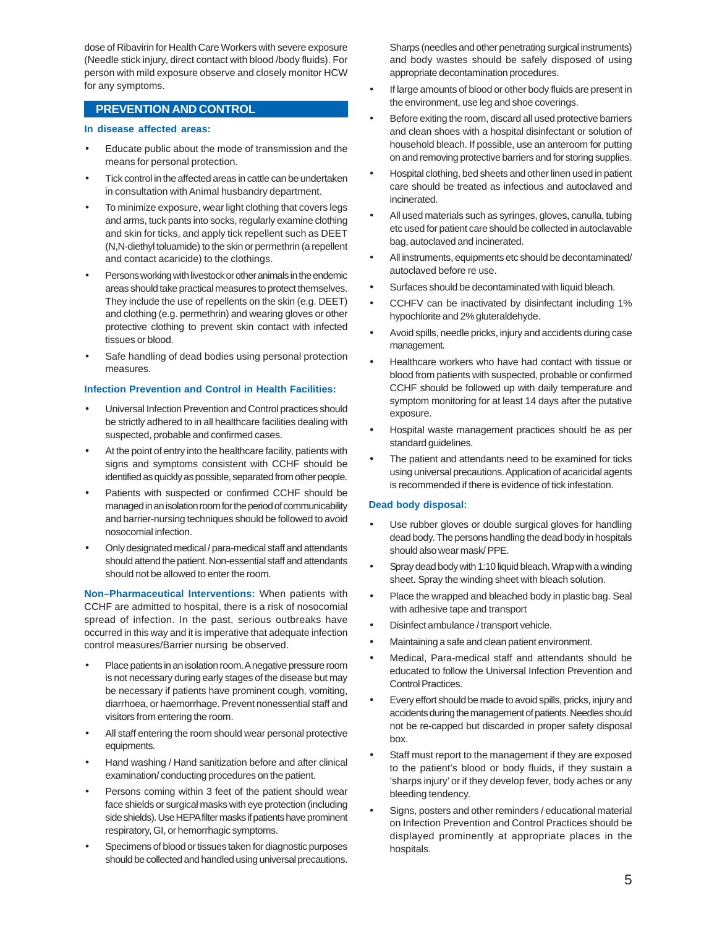dose of Ribavirin for Health Care Workers with severe exposure (Needle stick injury, direct contact with blood /body fluids). For person with mild exposure observe and closely monitor HCW for any symptoms.

## **PREVENTION AND CONTROL**

#### **In disease affected areas:**

- Educate public about the mode of transmission and the means for personal protection.
- Tick control in the affected areas in cattle can be undertaken in consultation with Animal husbandry department.
- To minimize exposure, wear light clothing that covers legs and arms, tuck pants into socks, regularly examine clothing and skin for ticks, and apply tick repellent such as DEET (N,N-diethyl toluamide) to the skin or permethrin (a repellent and contact acaricide) to the clothings.
- Persons working with livestock or other animals in the endemic areas should take practical measures to protect themselves. They include the use of repellents on the skin (e.g. DEET) and clothing (e.g. permethrin) and wearing gloves or other protective clothing to prevent skin contact with infected tissues or blood.
- Safe handling of dead bodies using personal protection measures.

#### **Infection Prevention and Control in Health Facilities:**

- Universal Infection Prevention and Control practices should be strictly adhered to in all healthcare facilities dealing with suspected, probable and confirmed cases.
- At the point of entry into the healthcare facility, patients with signs and symptoms consistent with CCHF should be identified as quickly as possible, separated from other people.
- Patients with suspected or confirmed CCHF should be managed in an isolation room for the period of communicability and barrier-nursing techniques should be followed to avoid nosocomial infection.
- Only designated medical / para-medical staff and attendants should attend the patient. Non-essential staff and attendants should not be allowed to enter the room.

**Non–Pharmaceutical Interventions:** When patients with CCHF are admitted to hospital, there is a risk of nosocomial spread of infection. In the past, serious outbreaks have occurred in this way and it is imperative that adequate infection control measures/Barrier nursing be observed.

- Place patients in an isolation room. A negative pressure room is not necessary during early stages of the disease but may be necessary if patients have prominent cough, vomiting, diarrhoea, or haemorrhage. Prevent nonessential staff and visitors from entering the room.
- All staff entering the room should wear personal protective equipments.
- Hand washing / Hand sanitization before and after clinical examination/ conducting procedures on the patient.
- Persons coming within 3 feet of the patient should wear face shields or surgical masks with eye protection (including side shields). Use HEPA filter masks if patients have prominent respiratory, GI, or hemorrhagic symptoms.
- Specimens of blood or tissues taken for diagnostic purposes should be collected and handled using universal precautions.

Sharps (needles and other penetrating surgical instruments) and body wastes should be safely disposed of using appropriate decontamination procedures.

- If large amounts of blood or other body fluids are present in the environment, use leg and shoe coverings.
- Before exiting the room, discard all used protective barriers and clean shoes with a hospital disinfectant or solution of household bleach. If possible, use an anteroom for putting on and removing protective barriers and for storing supplies.
- Hospital clothing, bed sheets and other linen used in patient care should be treated as infectious and autoclaved and incinerated.
- All used materials such as syringes, gloves, canulla, tubing etc used for patient care should be collected in autoclavable bag, autoclaved and incinerated.
- All instruments, equipments etc should be decontaminated/ autoclaved before re use.
- Surfaces should be decontaminated with liquid bleach.
- CCHFV can be inactivated by disinfectant including 1% hypochlorite and 2% gluteraldehyde.
- Avoid spills, needle pricks, injury and accidents during case management.
- Healthcare workers who have had contact with tissue or blood from patients with suspected, probable or confirmed CCHF should be followed up with daily temperature and symptom monitoring for at least 14 days after the putative exposure.
- Hospital waste management practices should be as per standard guidelines.
- The patient and attendants need to be examined for ticks using universal precautions. Application of acaricidal agents is recommended if there is evidence of tick infestation.

#### **Dead body disposal:**

- Use rubber gloves or double surgical gloves for handling dead body. The persons handling the dead body in hospitals should also wear mask/ PPE.
- Spray dead body with 1:10 liquid bleach. Wrap with a winding sheet. Spray the winding sheet with bleach solution.
- Place the wrapped and bleached body in plastic bag. Seal with adhesive tape and transport
- Disinfect ambulance / transport vehicle.
- Maintaining a safe and clean patient environment.
- Medical, Para-medical staff and attendants should be educated to follow the Universal Infection Prevention and Control Practices.
- Every effort should be made to avoid spills, pricks, injury and accidents during the management of patients. Needles should not be re-capped but discarded in proper safety disposal box.
- Staff must report to the management if they are exposed to the patient's blood or body fluids, if they sustain a 'sharps injury' or if they develop fever, body aches or any bleeding tendency.
- Signs, posters and other reminders / educational material on Infection Prevention and Control Practices should be displayed prominently at appropriate places in the hospitals.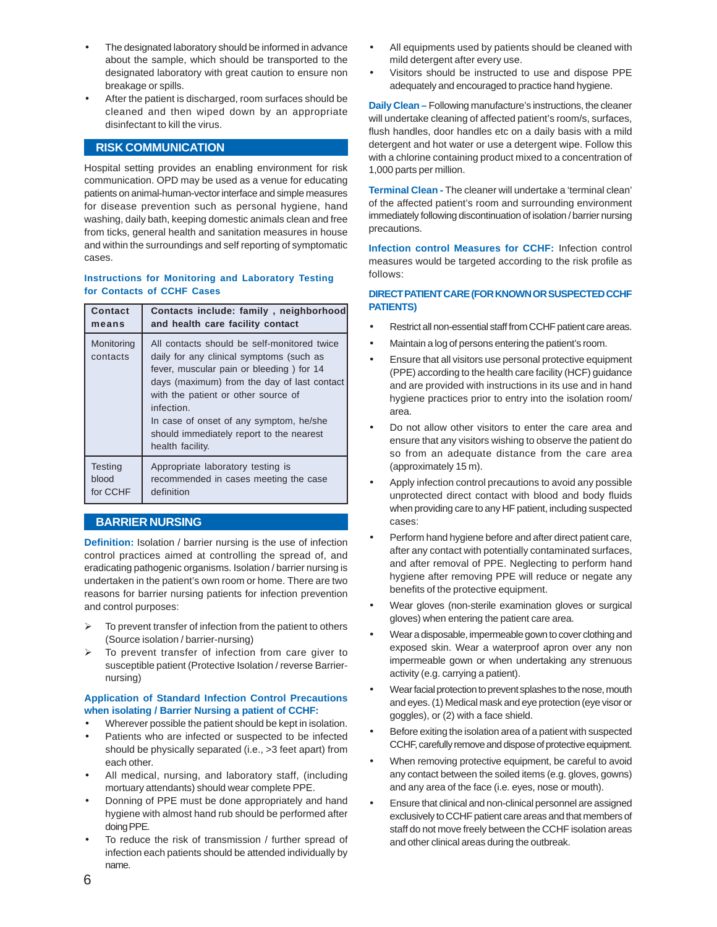- The designated laboratory should be informed in advance about the sample, which should be transported to the designated laboratory with great caution to ensure non breakage or spills.
- After the patient is discharged, room surfaces should be cleaned and then wiped down by an appropriate disinfectant to kill the virus.

## **RISK COMMUNICATION**

Hospital setting provides an enabling environment for risk communication. OPD may be used as a venue for educating patients on animal-human-vector interface and simple measures for disease prevention such as personal hygiene, hand washing, daily bath, keeping domestic animals clean and free from ticks, general health and sanitation measures in house and within the surroundings and self reporting of symptomatic cases.

#### **Instructions for Monitoring and Laboratory Testing for Contacts of CCHF Cases**

| Contact                | Contacts include: family, neighborhood                                                                                                                                                                                                                                                                                                             |
|------------------------|----------------------------------------------------------------------------------------------------------------------------------------------------------------------------------------------------------------------------------------------------------------------------------------------------------------------------------------------------|
| means                  | and health care facility contact                                                                                                                                                                                                                                                                                                                   |
| Monitoring<br>contacts | All contacts should be self-monitored twice<br>daily for any clinical symptoms (such as<br>fever, muscular pain or bleeding) for 14<br>days (maximum) from the day of last contact<br>with the patient or other source of<br>infection.<br>In case of onset of any symptom, he/she<br>should immediately report to the nearest<br>health facility. |
| <b>Testing</b>         | Appropriate laboratory testing is                                                                                                                                                                                                                                                                                                                  |
| blood                  | recommended in cases meeting the case                                                                                                                                                                                                                                                                                                              |
| for CCHF               | definition                                                                                                                                                                                                                                                                                                                                         |

## **BARRIER NURSING**

**Definition:** Isolation / barrier nursing is the use of infection control practices aimed at controlling the spread of, and eradicating pathogenic organisms. Isolation / barrier nursing is undertaken in the patient's own room or home. There are two reasons for barrier nursing patients for infection prevention and control purposes:

- To prevent transfer of infection from the patient to others (Source isolation / barrier-nursing)
- To prevent transfer of infection from care giver to susceptible patient (Protective Isolation / reverse Barriernursing)

#### **Application of Standard Infection Control Precautions when isolating / Barrier Nursing a patient of CCHF:**

- Wherever possible the patient should be kept in isolation.
- Patients who are infected or suspected to be infected should be physically separated (i.e., >3 feet apart) from each other.
- All medical, nursing, and laboratory staff, (including mortuary attendants) should wear complete PPE.
- Donning of PPE must be done appropriately and hand hygiene with almost hand rub should be performed after doing PPE.
- To reduce the risk of transmission / further spread of infection each patients should be attended individually by name.
- All equipments used by patients should be cleaned with mild detergent after every use.
- Visitors should be instructed to use and dispose PPE adequately and encouraged to practice hand hygiene.

**Daily Clean –** Following manufacture's instructions, the cleaner will undertake cleaning of affected patient's room/s, surfaces, flush handles, door handles etc on a daily basis with a mild detergent and hot water or use a detergent wipe. Follow this with a chlorine containing product mixed to a concentration of 1,000 parts per million.

**Terminal Clean -** The cleaner will undertake a 'terminal clean' of the affected patient's room and surrounding environment immediately following discontinuation of isolation / barrier nursing precautions.

**Infection control Measures for CCHF:** Infection control measures would be targeted according to the risk profile as follows:

#### **DIRECT PATIENT CARE (FOR KNOWN OR SUSPECTED CCHF PATIENTS)**

- Restrict all non-essential staff from CCHF patient care areas.
- Maintain a log of persons entering the patient's room.
- Ensure that all visitors use personal protective equipment (PPE) according to the health care facility (HCF) guidance and are provided with instructions in its use and in hand hygiene practices prior to entry into the isolation room/ area.
- Do not allow other visitors to enter the care area and ensure that any visitors wishing to observe the patient do so from an adequate distance from the care area (approximately 15 m).
- Apply infection control precautions to avoid any possible unprotected direct contact with blood and body fluids when providing care to any HF patient, including suspected cases:
- Perform hand hygiene before and after direct patient care, after any contact with potentially contaminated surfaces, and after removal of PPE. Neglecting to perform hand hygiene after removing PPE will reduce or negate any benefits of the protective equipment.
- Wear gloves (non-sterile examination gloves or surgical gloves) when entering the patient care area.
- Wear a disposable, impermeable gown to cover clothing and exposed skin. Wear a waterproof apron over any non impermeable gown or when undertaking any strenuous activity (e.g. carrying a patient).
- Wear facial protection to prevent splashes to the nose, mouth and eyes. (1) Medical mask and eye protection (eye visor or goggles), or (2) with a face shield.
- Before exiting the isolation area of a patient with suspected CCHF, carefully remove and dispose of protective equipment.
- When removing protective equipment, be careful to avoid any contact between the soiled items (e.g. gloves, gowns) and any area of the face (i.e. eyes, nose or mouth).
- Ensure that clinical and non-clinical personnel are assigned exclusively to CCHF patient care areas and that members of staff do not move freely between the CCHF isolation areas and other clinical areas during the outbreak.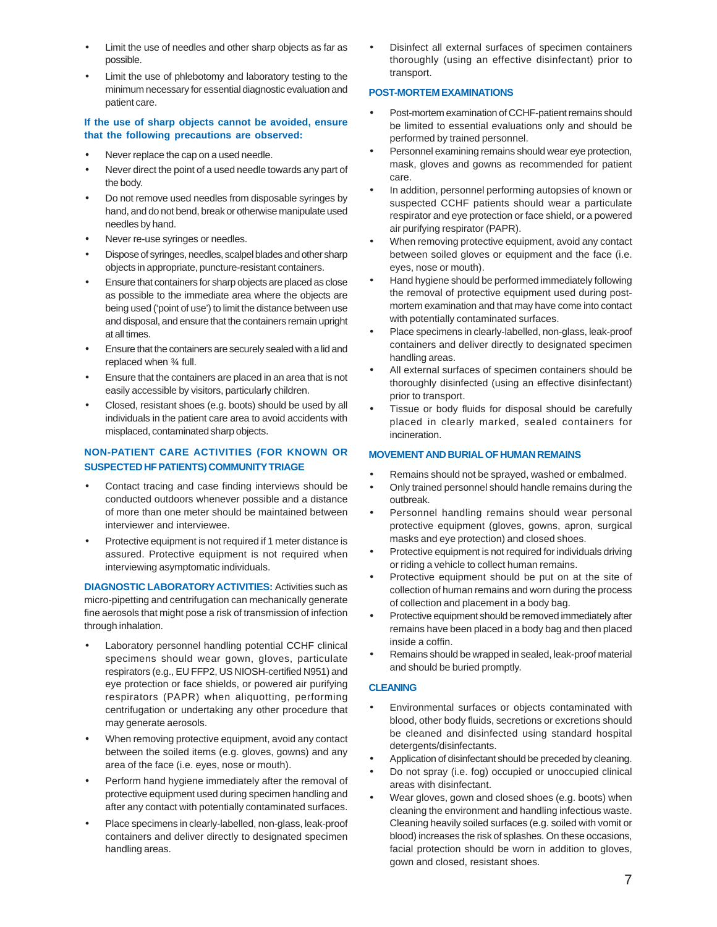- Limit the use of needles and other sharp objects as far as possible.
- Limit the use of phlebotomy and laboratory testing to the minimum necessary for essential diagnostic evaluation and patient care.

#### **If the use of sharp objects cannot be avoided, ensure that the following precautions are observed:**

- Never replace the cap on a used needle.
- Never direct the point of a used needle towards any part of the body.
- Do not remove used needles from disposable syringes by hand, and do not bend, break or otherwise manipulate used needles by hand.
- Never re-use syringes or needles.
- Dispose of syringes, needles, scalpel blades and other sharp objects in appropriate, puncture-resistant containers.
- Ensure that containers for sharp objects are placed as close as possible to the immediate area where the objects are being used ('point of use') to limit the distance between use and disposal, and ensure that the containers remain upright at all times.
- Ensure that the containers are securely sealed with a lid and replaced when ¾ full.
- Ensure that the containers are placed in an area that is not easily accessible by visitors, particularly children.
- Closed, resistant shoes (e.g. boots) should be used by all individuals in the patient care area to avoid accidents with misplaced, contaminated sharp objects.

## **NON-PATIENT CARE ACTIVITIES (FOR KNOWN OR SUSPECTED HF PATIENTS) COMMUNITY TRIAGE**

- Contact tracing and case finding interviews should be conducted outdoors whenever possible and a distance of more than one meter should be maintained between interviewer and interviewee.
- Protective equipment is not required if 1 meter distance is assured. Protective equipment is not required when interviewing asymptomatic individuals.

**DIAGNOSTIC LABORATORY ACTIVITIES:** Activities such as micro-pipetting and centrifugation can mechanically generate fine aerosols that might pose a risk of transmission of infection through inhalation.

- Laboratory personnel handling potential CCHF clinical specimens should wear gown, gloves, particulate respirators (e.g., EU FFP2, US NIOSH-certified N951) and eye protection or face shields, or powered air purifying respirators (PAPR) when aliquotting, performing centrifugation or undertaking any other procedure that may generate aerosols.
- When removing protective equipment, avoid any contact between the soiled items (e.g. gloves, gowns) and any area of the face (i.e. eyes, nose or mouth).
- Perform hand hygiene immediately after the removal of protective equipment used during specimen handling and after any contact with potentially contaminated surfaces.
- Place specimens in clearly-labelled, non-glass, leak-proof containers and deliver directly to designated specimen handling areas.

• Disinfect all external surfaces of specimen containers thoroughly (using an effective disinfectant) prior to transport.

#### **POST-MORTEM EXAMINATIONS**

- Post-mortem examination of CCHF-patient remains should be limited to essential evaluations only and should be performed by trained personnel.
- Personnel examining remains should wear eye protection, mask, gloves and gowns as recommended for patient care.
- In addition, personnel performing autopsies of known or suspected CCHF patients should wear a particulate respirator and eye protection or face shield, or a powered air purifying respirator (PAPR).
- When removing protective equipment, avoid any contact between soiled gloves or equipment and the face (i.e. eyes, nose or mouth).
- Hand hygiene should be performed immediately following the removal of protective equipment used during postmortem examination and that may have come into contact with potentially contaminated surfaces.
- Place specimens in clearly-labelled, non-glass, leak-proof containers and deliver directly to designated specimen handling areas.
- All external surfaces of specimen containers should be thoroughly disinfected (using an effective disinfectant) prior to transport.
- Tissue or body fluids for disposal should be carefully placed in clearly marked, sealed containers for incineration.

### **MOVEMENT AND BURIAL OF HUMAN REMAINS**

- Remains should not be sprayed, washed or embalmed.
- Only trained personnel should handle remains during the outbreak.
- Personnel handling remains should wear personal protective equipment (gloves, gowns, apron, surgical masks and eye protection) and closed shoes.
- Protective equipment is not required for individuals driving or riding a vehicle to collect human remains.
- Protective equipment should be put on at the site of collection of human remains and worn during the process of collection and placement in a body bag.
- Protective equipment should be removed immediately after remains have been placed in a body bag and then placed inside a coffin.
- Remains should be wrapped in sealed, leak-proof material and should be buried promptly.

#### **CLEANING**

- Environmental surfaces or objects contaminated with blood, other body fluids, secretions or excretions should be cleaned and disinfected using standard hospital detergents/disinfectants.
- Application of disinfectant should be preceded by cleaning.
- Do not spray (i.e. fog) occupied or unoccupied clinical areas with disinfectant.
- Wear gloves, gown and closed shoes (e.g. boots) when cleaning the environment and handling infectious waste. Cleaning heavily soiled surfaces (e.g. soiled with vomit or blood) increases the risk of splashes. On these occasions, facial protection should be worn in addition to gloves, gown and closed, resistant shoes.